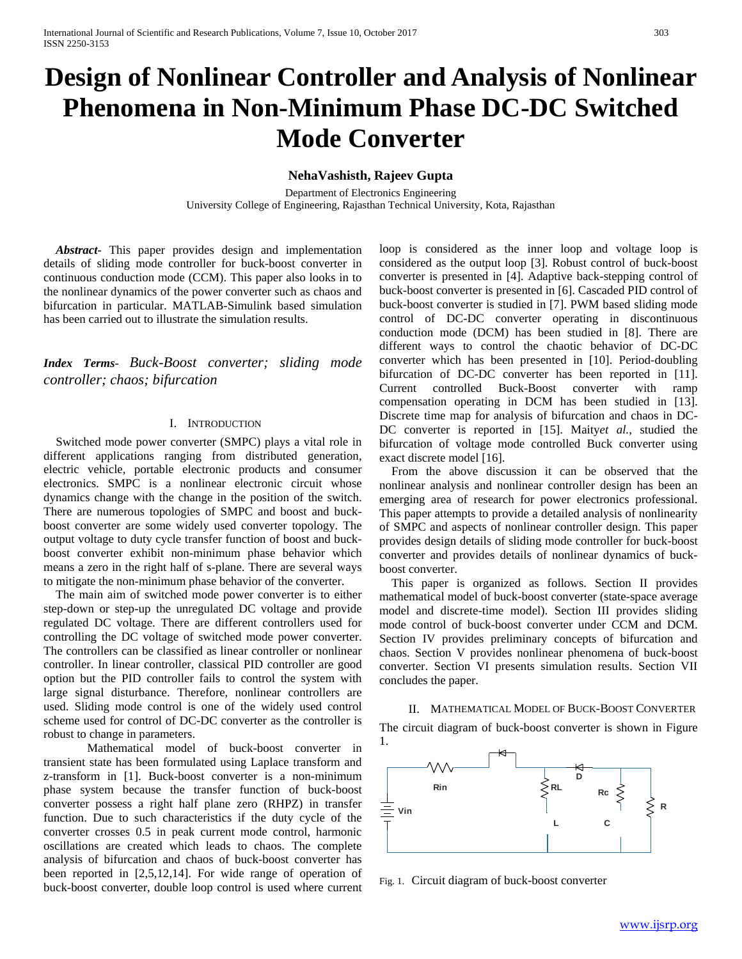# **Design of Nonlinear Controller and Analysis of Nonlinear Phenomena in Non-Minimum Phase DC-DC Switched Mode Converter**

# **NehaVashisth, Rajeev Gupta**

Department of Electronics Engineering University College of Engineering, Rajasthan Technical University, Kota, Rajasthan

*Abstract***-** This paper provides design and implementation details of sliding mode controller for buck-boost converter in continuous conduction mode (CCM). This paper also looks in to the nonlinear dynamics of the power converter such as chaos and bifurcation in particular. MATLAB-Simulink based simulation has been carried out to illustrate the simulation results.

*Index Terms*- *Buck-Boost converter; sliding mode controller; chaos; bifurcation*

## I. INTRODUCTION

Switched mode power converter (SMPC) plays a vital role in different applications ranging from distributed generation, electric vehicle, portable electronic products and consumer electronics. SMPC is a nonlinear electronic circuit whose dynamics change with the change in the position of the switch. There are numerous topologies of SMPC and boost and buckboost converter are some widely used converter topology. The output voltage to duty cycle transfer function of boost and buckboost converter exhibit non-minimum phase behavior which means a zero in the right half of s-plane. There are several ways to mitigate the non-minimum phase behavior of the converter.

The main aim of switched mode power converter is to either step-down or step-up the unregulated DC voltage and provide regulated DC voltage. There are different controllers used for controlling the DC voltage of switched mode power converter. The controllers can be classified as linear controller or nonlinear controller. In linear controller, classical PID controller are good option but the PID controller fails to control the system with large signal disturbance. Therefore, nonlinear controllers are used. Sliding mode control is one of the widely used control scheme used for control of DC-DC converter as the controller is robust to change in parameters.

Mathematical model of buck-boost converter in transient state has been formulated using Laplace transform and z-transform in [1]. Buck-boost converter is a non-minimum phase system because the transfer function of buck-boost converter possess a right half plane zero (RHPZ) in transfer function. Due to such characteristics if the duty cycle of the converter crosses 0.5 in peak current mode control, harmonic oscillations are created which leads to chaos. The complete analysis of bifurcation and chaos of buck-boost converter has been reported in [2,5,12,14]. For wide range of operation of buck-boost converter, double loop control is used where current loop is considered as the inner loop and voltage loop is considered as the output loop [3]. Robust control of buck-boost converter is presented in [4]. Adaptive back-stepping control of buck-boost converter is presented in [6]. Cascaded PID control of buck-boost converter is studied in [7]. PWM based sliding mode control of DC-DC converter operating in discontinuous conduction mode (DCM) has been studied in [8]. There are different ways to control the chaotic behavior of DC-DC converter which has been presented in [10]. Period-doubling bifurcation of DC-DC converter has been reported in [11]. Current controlled Buck-Boost converter with ramp compensation operating in DCM has been studied in [13]. Discrete time map for analysis of bifurcation and chaos in DC-DC converter is reported in [15]. Maity*et al.*, studied the bifurcation of voltage mode controlled Buck converter using exact discrete model [16].

From the above discussion it can be observed that the nonlinear analysis and nonlinear controller design has been an emerging area of research for power electronics professional. This paper attempts to provide a detailed analysis of nonlinearity of SMPC and aspects of nonlinear controller design. This paper provides design details of sliding mode controller for buck-boost converter and provides details of nonlinear dynamics of buckboost converter.

This paper is organized as follows. Section II provides mathematical model of buck-boost converter (state-space average model and discrete-time model). Section III provides sliding mode control of buck-boost converter under CCM and DCM. Section IV provides preliminary concepts of bifurcation and chaos. Section V provides nonlinear phenomena of buck-boost converter. Section VI presents simulation results. Section VII concludes the paper.

II. MATHEMATICAL MODEL OF BUCK-BOOST CONVERTER The circuit diagram of buck-boost converter is shown in Figure



Fig. 1. Circuit diagram of buck-boost converter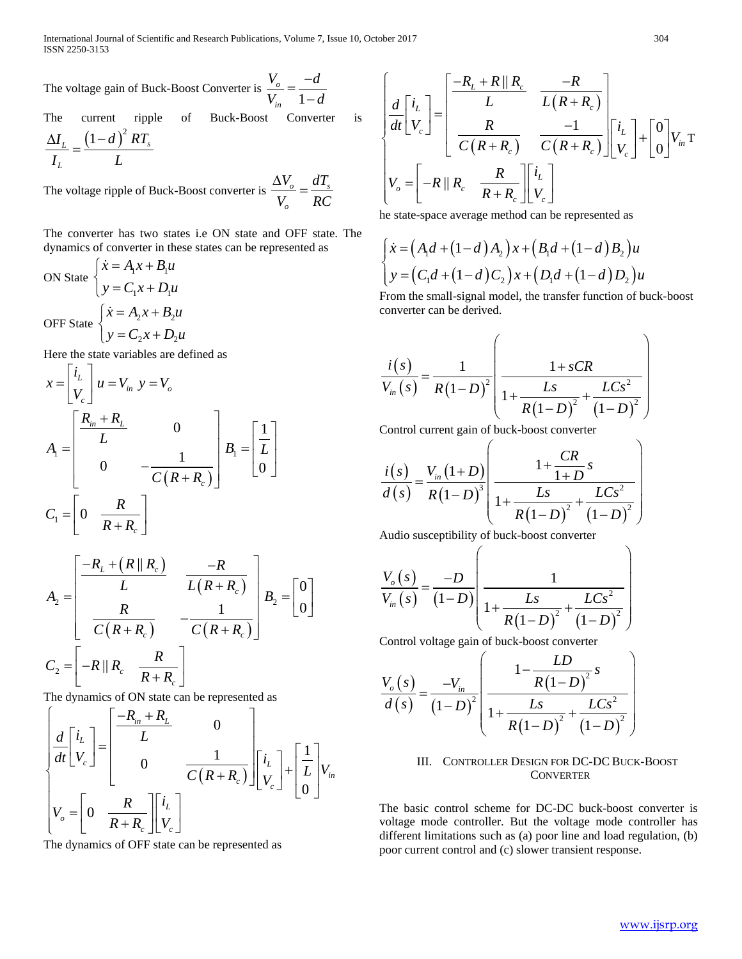The voltage gain of Buck-Boost Converter is  $\frac{b}{V_{in}} = \frac{1}{1}$ *o in*  $V_o$  *d*  $\frac{V_o}{V_{in}} = \frac{-d}{1-d}$ 

The current ripple of Buck-Boost Converter is

$$
\frac{\Delta I_L}{I_L} = \frac{\left(1 - d\right)^2 RT_s}{L}
$$

The voltage ripple of Buck-Boost converter is  $\frac{\Delta V_o}{\Delta V} = \frac{aI_s}{R}$ *o*  $V_o$  *dT*  $V_o$  RC  $\frac{\Delta V_o}{\Delta t} =$ 

The converter has two states i.e ON state and OFF state. The dynamics of converter in these states can be represented as

ON State 
$$
\begin{cases} \n\dot{x} = A_1 x + B_1 u \\ \ny = C_1 x + D_1 u \n\end{cases}
$$
  
\nOFF State 
$$
\begin{cases} \n\dot{x} = A_2 x + B_2 u \\ \ny = C_2 x + D_2 u \n\end{cases}
$$

Here the state variables are defined as

$$
x = \begin{bmatrix} i_L \\ V_c \end{bmatrix} u = V_{in} \quad y = V_o
$$
  
\n
$$
A_1 = \begin{bmatrix} \frac{R_{in} + R_L}{L} & 0 \\ 0 & -\frac{1}{C(R + R_c)} \end{bmatrix} B_1 = \begin{bmatrix} \frac{1}{L} \\ 0 \end{bmatrix}
$$
  
\n
$$
C_1 = \begin{bmatrix} 0 & \frac{R}{R + R_c} \end{bmatrix}
$$

$$
A_2 = \begin{bmatrix} \frac{-R_L + (R \parallel R_c)}{L} & \frac{-R}{L(R + R_c)} \\ \frac{R}{C(R + R_c)} & -\frac{1}{C(R + R_c)} \end{bmatrix} B_2 = \begin{bmatrix} 0 \\ 0 \end{bmatrix}
$$

$$
C_2 = \begin{bmatrix} -R \parallel R_c & \frac{R}{R + R_c} \end{bmatrix}
$$

The dynamics of ON state can be represented as

$$
\begin{bmatrix}\n\frac{d}{dt}\begin{bmatrix}\ni_L \\
V_c\n\end{bmatrix} = \begin{bmatrix}\n\frac{-R_{in} + R_L}{L} & 0 \\
0 & \frac{1}{C(R + R_c)}\end{bmatrix} \begin{bmatrix}\ni_L \\
V_c\n\end{bmatrix} + \begin{bmatrix}\frac{1}{L} \\
0\n\end{bmatrix} V_{in} \\
V_o = \begin{bmatrix}\n0 & \frac{R}{R + R_c}\end{bmatrix} \begin{bmatrix}\ni_L \\
V_c\n\end{bmatrix}\n\end{bmatrix}
$$

The dynamics of OFF state can be represented as

$$
\begin{bmatrix}\n\frac{d}{dt}\begin{bmatrix} i_L \\
V_c \end{bmatrix}\n=\n\begin{bmatrix}\n\frac{-R_L + R \parallel R_c}{L} & \frac{-R}{L(R + R_c)} \\
\frac{R}{C(R + R_c)} & \frac{-1}{C(R + R_c)}\n\end{bmatrix}\begin{bmatrix} i_L \\
V_c \end{bmatrix}\n+\begin{bmatrix} 0 \\
0 \end{bmatrix} V_m \text{T}\n\\ V_o =\n\begin{bmatrix} -R \parallel R_c & \frac{R}{R + R_c} \end{bmatrix}\begin{bmatrix} i_L \\
V_c \end{bmatrix}
$$

he state-space average method can be represented as

$$
\begin{cases} \n\dot{x} = (A_1d + (1-d)A_2)x + (B_1d + (1-d)B_2)u \\
y = (C_1d + (1-d)C_2)x + (D_1d + (1-d)D_2)u\n\end{cases}
$$

From the small-signal model, the transfer function of buck-boost converter can be derived.

$$
\frac{i(s)}{V_{in}(s)} = \frac{1}{R(1-D)^{2}} \left( \frac{1+sCR}{1+\frac{Ls}{R(1-D)^{2}} + \frac{LCs^{2}}{(1-D)^{2}}} \right)
$$

Control current gain of buck-boost converter

$$
\frac{i(s)}{d(s)} = \frac{V_{in}(1+D)}{R(1-D)^{3}} \left( \frac{1+\frac{CR}{1+D}s}{1+\frac{Ls}{R(1-D)^{2}} + \frac{LCs^{2}}{(1-D)^{2}}} \right)
$$

Audio susceptibility of buck-boost converter

$$
\frac{V_o(s)}{V_{in}(s)} = \frac{-D}{(1-D)} \left( \frac{1}{1 + \frac{Ls}{R(1-D)^2} + \frac{LCs^2}{(1-D)^2}} \right)
$$

Control voltage gain of buck-boost converter

$$
\frac{V_o(s)}{d(s)} = \frac{-V_{in}}{(1-D)^2} \left( \frac{1 - \frac{LD}{R(1-D)^2} s}{1 + \frac{LS}{R(1-D)^2} + \frac{LCs^2}{(1-D)^2}} \right)
$$

## III. CONTROLLER DESIGN FOR DC-DC BUCK-BOOST **CONVERTER**

The basic control scheme for DC-DC buck-boost converter is voltage mode controller. But the voltage mode controller has different limitations such as (a) poor line and load regulation, (b) poor current control and (c) slower transient response.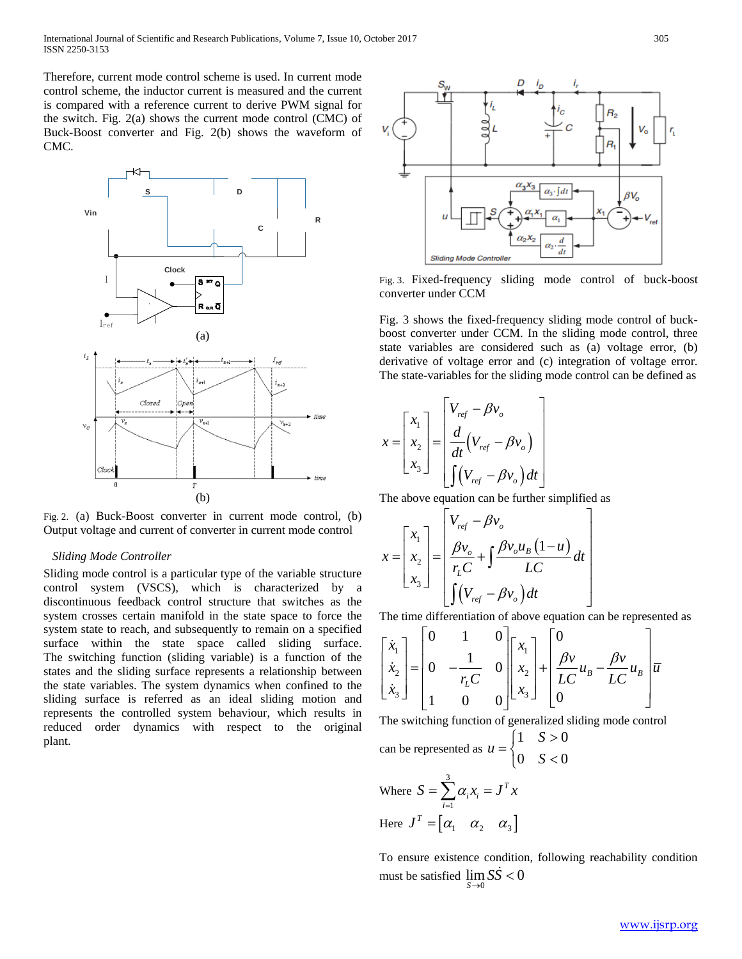Therefore, current mode control scheme is used. In current mode control scheme, the inductor current is measured and the current is compared with a reference current to derive PWM signal for the switch. Fig. 2(a) shows the current mode control (CMC) of Buck-Boost converter and Fig. 2(b) shows the waveform of CMC.



Fig. 2. (a) Buck-Boost converter in current mode control, (b) Output voltage and current of converter in current mode control

## *Sliding Mode Controller*

Sliding mode control is a particular type of the variable structure control system (VSCS), which is characterized by a discontinuous feedback control structure that switches as the system crosses certain manifold in the state space to force the system state to reach, and subsequently to remain on a specified surface within the state space called sliding surface. The switching function (sliding variable) is a function of the states and the sliding surface represents a relationship between the state variables. The system dynamics when confined to the sliding surface is referred as an ideal sliding motion and represents the controlled system behaviour, which results in reduced order dynamics with respect to the original plant.



Fig. 3. Fixed-frequency sliding mode control of buck-boost converter under CCM

Fig. 3 shows the fixed-frequency sliding mode control of buckboost converter under CCM. In the sliding mode control, three state variables are considered such as (a) voltage error, (b) derivative of voltage error and (c) integration of voltage error. The state-variables for the sliding mode control can be defined as

$$
x = \begin{bmatrix} x_1 \\ x_2 \\ x_3 \end{bmatrix} = \begin{bmatrix} V_{ref} - \beta v_o \\ \frac{d}{dt} (V_{ref} - \beta v_o) \\ \int (V_{ref} - \beta v_o) dt \end{bmatrix}
$$

The above equation can be further simplified as

$$
x = \begin{bmatrix} x_1 \\ x_2 \\ x_3 \end{bmatrix} = \begin{bmatrix} V_{ref} - \beta v_o \\ \frac{\beta v_o}{r_L C} + \int \frac{\beta v_o u_B (1 - u)}{LC} dt \\ \int (V_{ref} - \beta v_o) dt \end{bmatrix}
$$

The time differentiation of above equation can be represented as

$$
\begin{bmatrix} \dot{x}_1 \\ \dot{x}_2 \\ \dot{x}_3 \end{bmatrix} = \begin{bmatrix} 0 & 1 & 0 \\ 0 & -\frac{1}{r_L C} & 0 \\ 1 & 0 & 0 \end{bmatrix} \begin{bmatrix} x_1 \\ x_2 \\ x_3 \end{bmatrix} + \begin{bmatrix} 0 \\ \frac{\beta v}{LC} u_B - \frac{\beta v}{LC} u_B \\ 0 \end{bmatrix} \overline{u}
$$

The switching function of generalized sliding mode control

can be represented as 
$$
u = \begin{cases} 1 & S > 0 \\ 0 & S < 0 \end{cases}
$$

Where 
$$
S = \sum_{i=1}^{3} \alpha_i x_i = J^T x
$$
  
Here  $J^T = [\alpha_1 \ \alpha_2 \ \alpha_3]$ 

To ensure existence condition, following reachability condition must be satisfied  $\lim_{S\to 0} S\dot{S} < 0$  $S\rightarrow 0$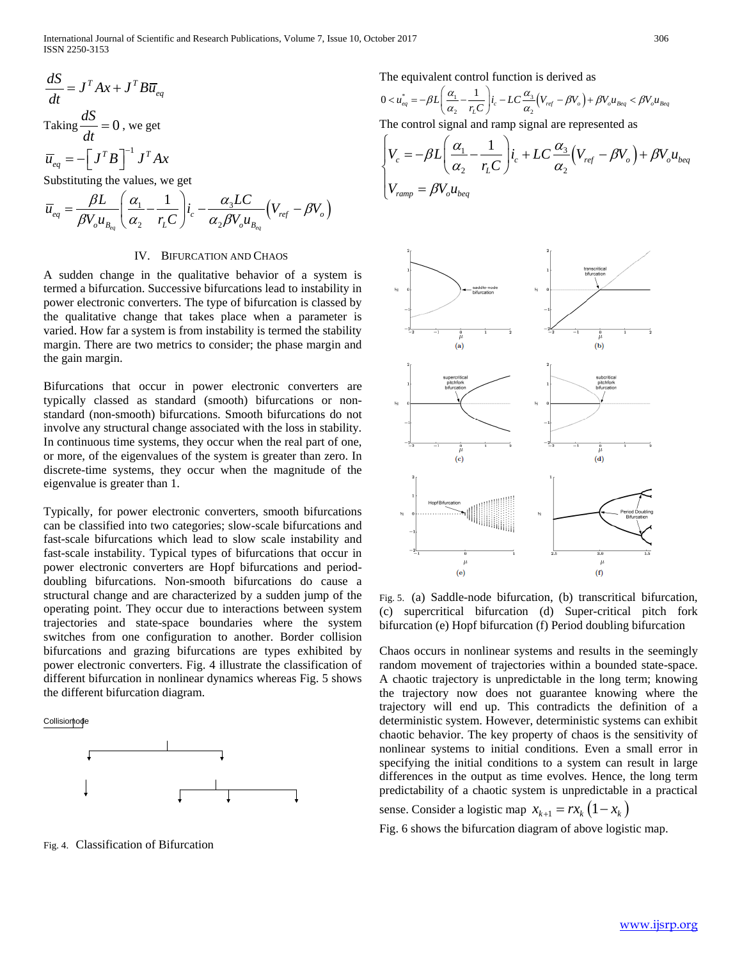International Journal of Scientific and Research Publications, Volume 7, Issue 10, October 2017 306 ISSN 2250-3153

$$
\frac{dS}{dt} = J^T A x + J^T B \overline{u}_{eq}
$$
  
Taking  $\frac{dS}{dt} = 0$ , we get  
 $\overline{u}_{eq} = -\left[J^T B\right]^{-1} J^T A x$   
Substituting the values, we get

$$
\overline{u}_{eq} = \frac{\beta L}{\beta V_o u_{B_{eq}}} \left( \frac{\alpha_1}{\alpha_2} - \frac{1}{r_L C} \right) i_c - \frac{\alpha_3 LC}{\alpha_2 \beta V_o u_{B_{eq}}} \left( V_{ref} - \beta V_o \right)
$$

#### IV. BIFURCATION AND CHAOS

A sudden change in the qualitative behavior of a system is termed a bifurcation. Successive bifurcations lead to instability in power electronic converters. The type of bifurcation is classed by the qualitative change that takes place when a parameter is varied. How far a system is from instability is termed the stability margin. There are two metrics to consider; the phase margin and the gain margin.

Bifurcations that occur in power electronic converters are typically classed as standard (smooth) bifurcations or nonstandard (non-smooth) bifurcations. Smooth bifurcations do not involve any structural change associated with the loss in stability. In continuous time systems, they occur when the real part of one, or more, of the eigenvalues of the system is greater than zero. In discrete-time systems, they occur when the magnitude of the eigenvalue is greater than 1.

Typically, for power electronic converters, smooth bifurcations can be classified into two categories; slow-scale bifurcations and fast-scale bifurcations which lead to slow scale instability and fast-scale instability. Typical types of bifurcations that occur in power electronic converters are Hopf bifurcations and perioddoubling bifurcations. Non-smooth bifurcations do cause a structural change and are characterized by a sudden jump of the operating point. They occur due to interactions between system trajectories and state-space boundaries where the system switches from one configuration to another. Border collision bifurcations and grazing bifurcations are types exhibited by power electronic converters. Fig. 4 illustrate the classification of different bifurcation in nonlinear dynamics whereas Fig. 5 shows the different bifurcation diagram.

## Collisiom<sub>po</sub>de



Fig. 4. Classification of Bifurcation

The equivalent control function is derived as

$$
0 < u_{eq}^* = -\beta L \left( \frac{\alpha_1}{\alpha_2} - \frac{1}{r_L C} \right) i_c - LC \frac{\alpha_3}{\alpha_2} \left( V_{ref} - \beta V_o \right) + \beta V_o u_{Beq} < \beta V_o u_{Beq}
$$
\nThe control signal and ramp signal are represented as

$$
\begin{cases}\nV_c = -\beta L \left(\frac{\alpha_1}{\alpha_2} - \frac{1}{r_L C}\right) i_c + LC \frac{\alpha_3}{\alpha_2} (V_{ref} - \beta V_o) + \beta V_o u_{beg} \\
V_{ramp} = \beta V_o u_{beg}\n\end{cases}
$$



Fig. 5. (a) Saddle-node bifurcation, (b) transcritical bifurcation, (c) supercritical bifurcation (d) Super-critical pitch fork bifurcation (e) Hopf bifurcation (f) Period doubling bifurcation

Chaos occurs in nonlinear systems and results in the seemingly random movement of trajectories within a bounded state-space. A chaotic trajectory is unpredictable in the long term; knowing the trajectory now does not guarantee knowing where the trajectory will end up. This contradicts the definition of a deterministic system. However, deterministic systems can exhibit chaotic behavior. The key property of chaos is the sensitivity of nonlinear systems to initial conditions. Even a small error in specifying the initial conditions to a system can result in large differences in the output as time evolves. Hence, the long term predictability of a chaotic system is unpredictable in a practical

sense. Consider a logistic map  $x_{k+1} = rx_k (1 - x_k)$ 

Fig. 6 shows the bifurcation diagram of above logistic map.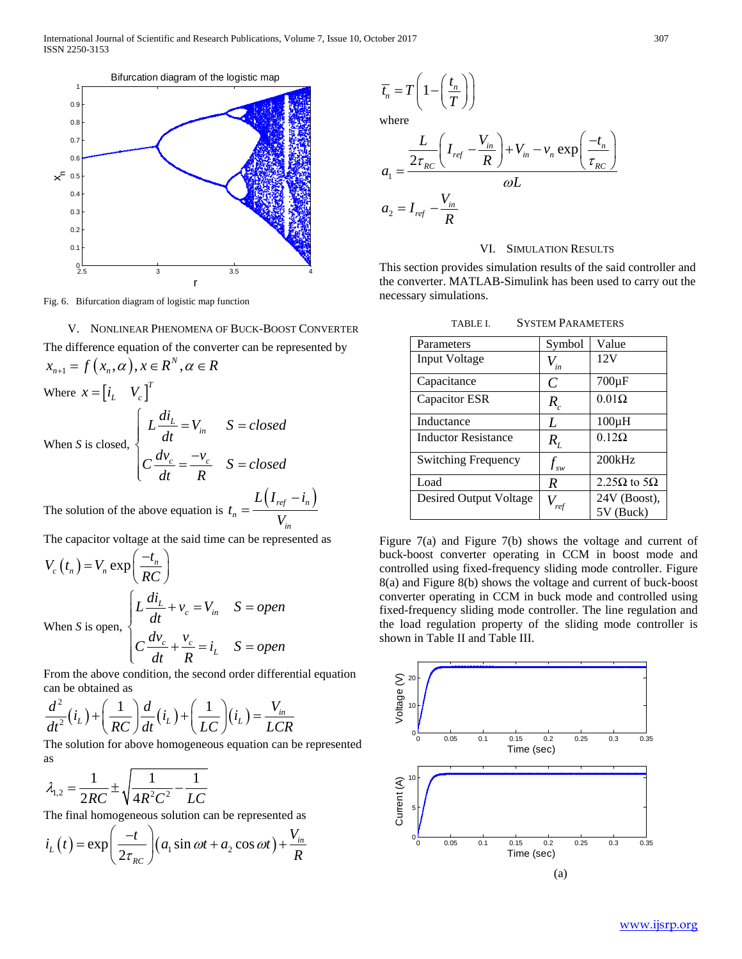

Fig. 6. Bifurcation diagram of logistic map function

V. NONLINEAR PHENOMENA OF BUCK-BOOST CONVERTER The difference equation of the converter can be represented by  $x_{n+1} = f(x_n, \alpha), x \in \mathbb{R}^N, \alpha \in \mathbb{R}^N$ Where  $x = \begin{bmatrix} i_L & V_c \end{bmatrix}^T$ When *S* is closed,  $L\llap{$\phantom{1}L$}$   $=$   $V$ <sub>in</sub>  $\frac{c}{c} = \frac{v_c}{c}$  $L \frac{di_L}{d} = V_{in}$   $S = closed$ *dt*  $C\frac{dv_c}{dr} = \frac{-v_c}{R}$  *S = closed dt R*  $\begin{cases}\nL\frac{di_L}{dt} = V_{in} & S = \n\end{cases}$  $\begin{cases} \frac{dv_c}{dt} = \frac{-v_c}{R} & S = \end{cases}$ 

The solution of the above equation is  $t_n = \frac{L(I_{ref} - i_n)}{V}$ *in*  $L(I_{ref} - i$ *t V*  $=\frac{L(I_{ref}-I_{ref})}{I_{ref}}$ 

The capacitor voltage at the said time can be represented as

$$
V_c(t_n) = V_n \exp\left(\frac{-t_n}{RC}\right)
$$
  
When *S* is open, 
$$
\begin{cases} L\frac{di_L}{dt} + v_c = V_{in} & S = open \\ C\frac{dv_c}{dt} + \frac{v_c}{R} = i_L & S = open \end{cases}
$$

From the above condition, the second order differential equation can be obtained as

$$
\frac{d^2}{dt^2}(i_L) + \left(\frac{1}{RC}\right)\frac{d}{dt}(i_L) + \left(\frac{1}{LC}\right)(i_L) = \frac{V_{in}}{LCR}
$$

The solution for above homogeneous equation can be represented as

$$
\lambda_{1,2} = \frac{1}{2RC} \pm \sqrt{\frac{1}{4R^2C^2} - \frac{1}{LC}}
$$

The final homogeneous solution can be represented as

$$
i_{L}(t) = \exp\left(\frac{-t}{2\tau_{RC}}\right) \left(a_{1} \sin \omega t + a_{2} \cos \omega t\right) + \frac{V_{in}}{R}
$$

$$
\overline{t_n} = T\left(1 - \left(\frac{t_n}{T}\right)\right)
$$

where

$$
a_1 = \frac{\frac{L}{2\tau_{RC}} \left(I_{ref} - \frac{V_{in}}{R}\right) + V_{in} - v_n \exp\left(\frac{-t_n}{\tau_{RC}}\right)}{\omega L}
$$

$$
a_2 = I_{ref} - \frac{V_{in}}{R}
$$

#### VI. SIMULATION RESULTS

This section provides simulation results of the said controller and the converter. MATLAB-Simulink has been used to carry out the necessary simulations.

TABLE I. SYSTEM PARAMETERS

| Parameters                    | Symbol                         | Value                       |
|-------------------------------|--------------------------------|-----------------------------|
| Input Voltage                 | $V_{in}$                       | 12V                         |
| Capacitance                   | $\mathcal{C}_{0}$              | $700\mu F$                  |
| Capacitor ESR                 | $R_{c}$                        | $0.01\Omega$                |
| Inductance                    | L                              | $100\mu H$                  |
| <b>Inductor Resistance</b>    | $R_{I}$                        | $0.12\Omega$                |
| <b>Switching Frequency</b>    | $f_{\scriptscriptstyle\sf SW}$ | 200kHz                      |
| Load                          | R                              | 2.25 $\Omega$ to 5 $\Omega$ |
| <b>Desired Output Voltage</b> |                                | 24V (Boost),<br>5V (Buck)   |

Figure 7(a) and Figure 7(b) shows the voltage and current of buck-boost converter operating in CCM in boost mode and controlled using fixed-frequency sliding mode controller. Figure 8(a) and Figure 8(b) shows the voltage and current of buck-boost converter operating in CCM in buck mode and controlled using fixed-frequency sliding mode controller. The line regulation and the load regulation property of the sliding mode controller is shown in Table II and Table III.

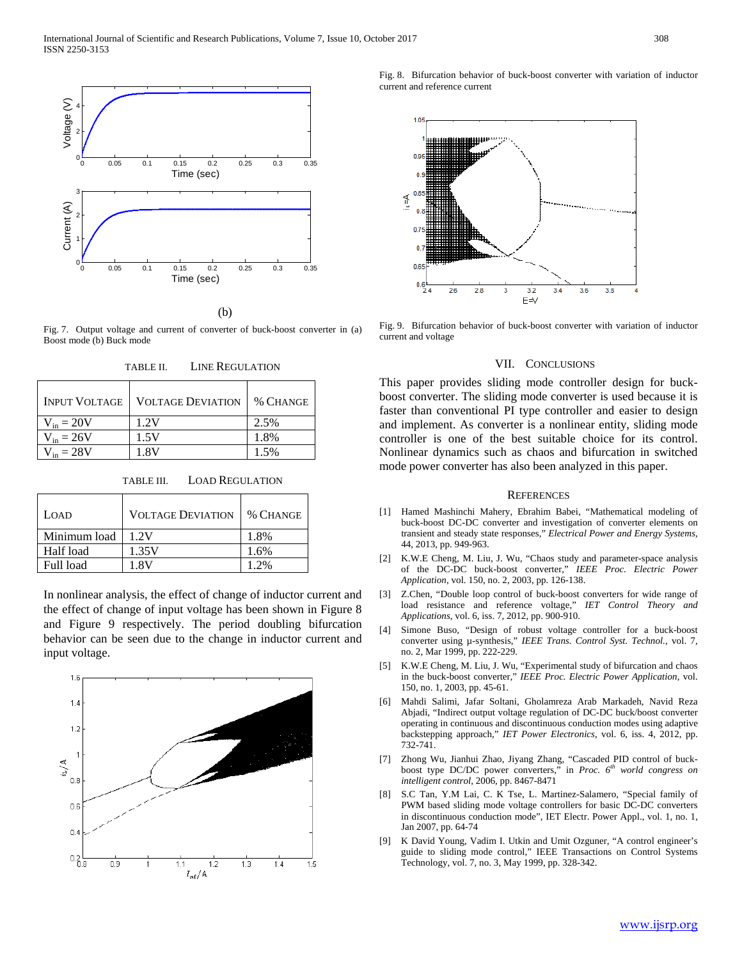

(b)

Fig. 7. Output voltage and current of converter of buck-boost converter in (a) Boost mode (b) Buck mode

| <b>INPUT VOLTAGE</b> | <b>VOLTAGE DEVIATION</b> | % CHANGE |
|----------------------|--------------------------|----------|
| $V_{in} = 20V$       | 1.2V                     | 2.5%     |
| $V_{in} = 26V$       | 1.5V                     | 1.8%     |
| $V_{in} = 28V$       | 1 RV                     | 1.5%     |

TABLE III. LOAD REGULATION

| LOAD         | <b>VOLTAGE DEVIATION</b> | % CHANGE |
|--------------|--------------------------|----------|
| Minimum load | 1.2V                     | 1.8%     |
| Half load    | 1.35V                    | 1.6%     |
| Full load    | 1 RV                     | 1 2%     |

In nonlinear analysis, the effect of change of inductor current and the effect of change of input voltage has been shown in Figure 8 and Figure 9 respectively. The period doubling bifurcation behavior can be seen due to the change in inductor current and input voltage.



Fig. 8. Bifurcation behavior of buck-boost converter with variation of inductor current and reference current



Fig. 9. Bifurcation behavior of buck-boost converter with variation of inductor current and voltage

#### VII. CONCLUSIONS

This paper provides sliding mode controller design for buckboost converter. The sliding mode converter is used because it is faster than conventional PI type controller and easier to design and implement. As converter is a nonlinear entity, sliding mode controller is one of the best suitable choice for its control. Nonlinear dynamics such as chaos and bifurcation in switched mode power converter has also been analyzed in this paper.

#### **REFERENCES**

- [1] Hamed Mashinchi Mahery, Ebrahim Babei, "Mathematical modeling of buck-boost DC-DC converter and investigation of converter elements on transient and steady state responses," *Electrical Power and Energy Systems*, 44, 2013, pp. 949-963.
- [2] K.W.E Cheng, M. Liu, J. Wu, "Chaos study and parameter-space analysis of the DC-DC buck-boost converter," *IEEE Proc. Electric Power Application*, vol. 150, no. 2, 2003, pp. 126-138.
- [3] Z.Chen, "Double loop control of buck-boost converters for wide range of load resistance and reference voltage," *IET Control Theory and Applications*, vol. 6, iss. 7, 2012, pp. 900-910.
- [4] Simone Buso, "Design of robust voltage controller for a buck-boost converter using µ-synthesis," *IEEE Trans. Control Syst. Technol.*, vol. 7, no. 2, Mar 1999, pp. 222-229.
- [5] K.W.E Cheng, M. Liu, J. Wu, "Experimental study of bifurcation and chaos in the buck-boost converter," *IEEE Proc. Electric Power Application*, vol. 150, no. 1, 2003, pp. 45-61.
- [6] Mahdi Salimi, Jafar Soltani, Gholamreza Arab Markadeh, Navid Reza Abjadi, "Indirect output voltage regulation of DC-DC buck/boost converter operating in continuous and discontinuous conduction modes using adaptive backstepping approach," *IET Power Electronics*, vol. 6, iss. 4, 2012, pp. 732-741.
- [7] Zhong Wu, Jianhui Zhao, Jiyang Zhang, "Cascaded PID control of buckboost type DC/DC power converters," in *Proc. 6th world congress on intelligent control*, 2006, pp. 8467-8471
- [8] S.C Tan, Y.M Lai, C. K Tse, L. Martinez-Salamero, "Special family of PWM based sliding mode voltage controllers for basic DC-DC converters in discontinuous conduction mode", IET Electr. Power Appl., vol. 1, no. 1, Jan 2007, pp. 64-74
- [9] K David Young, Vadim I. Utkin and Umit Ozguner, "A control engineer's guide to sliding mode control," IEEE Transactions on Control Systems Technology, vol. 7, no. 3, May 1999, pp. 328-342.